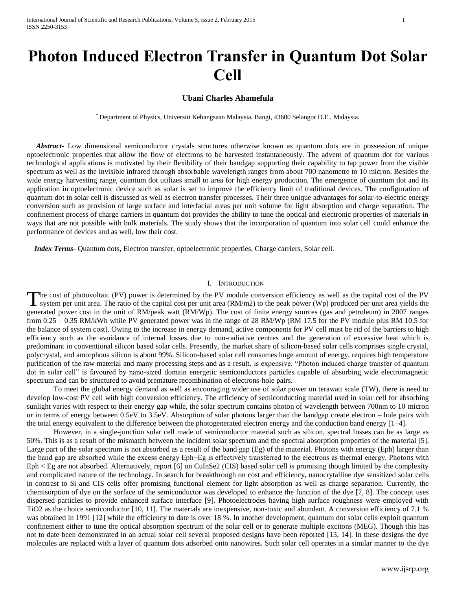# **Photon Induced Electron Transfer in Quantum Dot Solar Cell**

## **Ubani Charles Ahamefula**

\* Department of Physics, Universiti Kebangsaan Malaysia, Bangi, 43600 Selangor D.E., Malaysia.

 *Abstract***-** Low dimensional semiconductor crystals structures otherwise known as quantum dots are in possession of unique optoelectronic properties that allow the flow of electrons to be harvested instantaneously. The advent of quantum dot for various technological applications is motivated by their flexibility of their bandgap supporting their capability to tap power from the visible spectrum as well as the invisible infrared through absorbable wavelength ranges from about 700 nanometre to 10 micron. Besides the wide energy harvesting range, quantum dot utilizes small to area for high energy production. The emergence of quantum dot and its application in optoelectronic device such as solar is set to improve the efficiency limit of traditional devices. The configuration of quantum dot in solar cell is discussed as well as electron transfer processes. Their three unique advantages for solar-to-electric energy conversion such as provision of large surface and interfacial areas per unit volume for light absorption and charge separation. The confinement process of charge carriers in quantum dot provides the ability to tune the optical and electronic properties of materials in ways that are not possible with bulk materials. The study shows that the incorporation of quantum into solar cell could enhance the performance of devices and as well, low their cost.

 *Index Terms*- Quantum dots, Electron transfer, optoelectronic properties, Charge carriers, Solar cell.

### I. INTRODUCTION

he cost of photovoltaic (PV) power is determined by the PV module conversion efficiency as well as the capital cost of the PV The cost of photovoltaic (PV) power is determined by the PV module conversion efficiency as well as the capital cost of the PV system per unit area. The ratio of the capital cost per unit area (RM/m2) to the peak power (Wp generated power cost in the unit of RM/peak watt (RM/Wp). The cost of finite energy sources (gas and petroleum) in 2007 ranges from 0.25 – 0.35 RM/kWh while PV generated power was in the range of 28 RM/Wp (RM 17.5 for the PV module plus RM 10.5 for the balance of system cost). Owing to the increase in energy demand, active components for PV cell must be rid of the barriers to high efficiency such as the avoidance of internal losses due to non-radiative centres and the generation of excessive heat which is predominant in conventional silicon based solar cells. Presently, the market share of silicon-based solar cells comprises single crystal, polycrystal, and amorphous silicon is about 99%. Silicon-based solar cell consumes huge amount of energy, requires high temperature purification of the raw material and many processing steps and as a result, is expensive. "Photon induced charge transfer of quantum dot in solar cell" is favoured by nano-sized domain energetic semiconductors particles capable of absorbing wide electromagnetic spectrum and can be structured to avoid premature recombination of electrons-hole pairs.

To meet the global energy demand as well as encouraging wider use of solar power on terawatt scale (TW), there is need to develop low-cost PV cell with high conversion efficiency. The efficiency of semiconducting material used in solar cell for absorbing sunlight varies with respect to their energy gap while, the solar spectrum contains photon of wavelength between 700nm to 10 micron or in terms of energy between 0.5eV to 3.5eV. Absorption of solar photons larger than the bandgap create electron – hole pairs with the total energy equivalent to the difference between the photogenerated electron energy and the conduction band energy [1–4].

However, in a single-junction solar cell made of semiconductor material such as silicon, spectral losses can be as large as 50%. This is as a result of the mismatch between the incident solar spectrum and the spectral absorption properties of the material [5]. Large part of the solar spectrum is not absorbed as a result of the band gap (Eg) of the material. Photons with energy (Eph) larger than the band gap are absorbed while the excess energy Eph−Eg is effectively transferred to the electrons as thermal energy. Photons with Eph < Eg are not absorbed. Alternatively, report [6] on CuInSe2 (CIS) based solar cell is promising though limited by the complexity and complicated nature of the technology. In search for breakthrough on cost and efficiency, nanocrytalline dye sensitized solar cells in contrast to Si and CIS cells offer promising functional element for light absorption as well as charge separation. Currently, the chemisorption of dye on the surface of the semiconductor was developed to enhance the function of the dye [7, 8]. The concept uses dispersed particles to provide enhanced surface interface [9]. Photoelectrodes having high surface roughness were employed with TiO2 as the choice semiconductor [10, 11]. The materials are inexpensive, non-toxic and abundant. A conversion efficiency of 7.1 % was obtained in 1991 [12] while the efficiency to date is over 18 %. In another development, quantum dot solar cells exploit quantum confinement either to tune the optical absorption spectrum of the solar cell or to generate multiple excitons (MEG). Though this has not to date been demonstrated in an actual solar cell several proposed designs have been reported [13, 14]. In these designs the dye molecules are replaced with a layer of quantum dots adsorbed onto nanowires. Such solar cell operates in a similar manner to the dye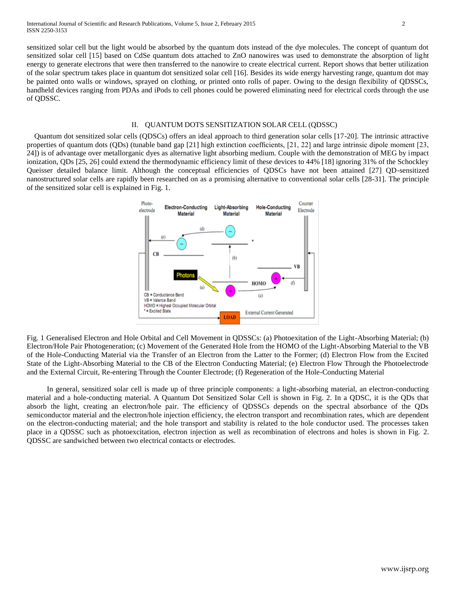sensitized solar cell but the light would be absorbed by the quantum dots instead of the dye molecules. The concept of quantum dot sensitized solar cell [15] based on CdSe quantum dots attached to ZnO nanowires was used to demonstrate the absorption of light energy to generate electrons that were then transferred to the nanowire to create electrical current. Report shows that better utilization of the solar spectrum takes place in quantum dot sensitized solar cell [16]. Besides its wide energy harvesting range, quantum dot may be painted onto walls or windows, sprayed on clothing, or printed onto rolls of paper. Owing to the design flexibility of QDSSCs, handheld devices ranging from PDAs and iPods to cell phones could be powered eliminating need for electrical cords through the use of QDSSC.

### II. QUANTUM DOTS SENSITIZATION SOLAR CELL (QDSSC)

 Quantum dot sensitized solar cells (QDSCs) offers an ideal approach to third generation solar cells [17-20]. The intrinsic attractive properties of quantum dots (QDs) (tunable band gap [21] high extinction coefficients, [21, 22] and large intrinsic dipole moment [23, 24]) is of advantage over metallorganic dyes as alternative light absorbing medium. Couple with the demonstration of MEG by impact ionization, QDs [25, 26] could extend the thermodynamic efficiency limit of these devices to 44% [18] ignoring 31% of the Schockley Queisser detailed balance limit. Although the conceptual efficiencies of QDSCs have not been attained [27] QD-sensitized nanostructured solar cells are rapidly been researched on as a promising alternative to conventional solar cells [28-31]. The principle of the sensitized solar cell is explained in Fig. 1.



Fig. 1 Generalised Electron and Hole Orbital and Cell Movement in QDSSCs: (a) Photoexitation of the Light-Absorbing Material; (b) Electron/Hole Pair Photogeneration; (c) Movement of the Generated Hole from the HOMO of the Light-Absorbing Material to the VB of the Hole-Conducting Material via the Transfer of an Electron from the Latter to the Former; (d) Electron Flow from the Excited State of the Light-Absorbing Material to the CB of the Electron Conducting Material; (e) Electron Flow Through the Photoelectrode and the External Circuit, Re-entering Through the Counter Electrode; (f) Regeneration of the Hole-Conducting Material

In general, sensitized solar cell is made up of three principle components: a light-absorbing material, an electron-conducting material and a hole-conducting material. A Quantum Dot Sensitized Solar Cell is shown in Fig. 2. In a QDSC, it is the QDs that absorb the light, creating an electron/hole pair. The efficiency of QDSSCs depends on the spectral absorbance of the QDs semiconductor material and the electron/hole injection efficiency, the electron transport and recombination rates, which are dependent on the electron-conducting material; and the hole transport and stability is related to the hole conductor used. The processes taken place in a QDSSC such as photoexcitation, electron injection as well as recombination of electrons and holes is shown in Fig. 2. QDSSC are sandwiched between two electrical contacts or electrodes.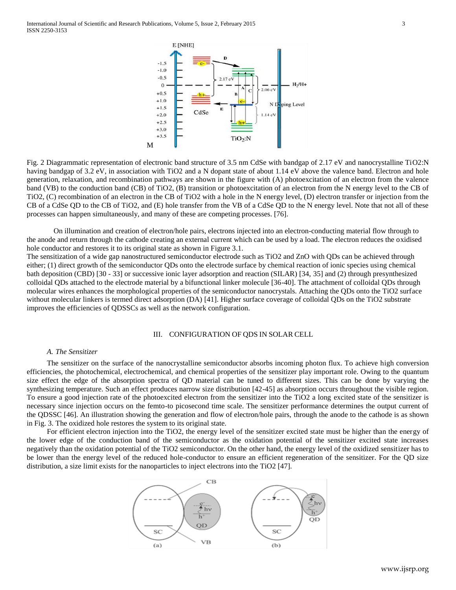

Fig. 2 Diagrammatic representation of electronic band structure of 3.5 nm CdSe with bandgap of 2.17 eV and nanocrystalline TiO2:N having bandgap of 3.2 eV, in association with TiO2 and a N dopant state of about 1.14 eV above the valence band. Electron and hole generation, relaxation, and recombination pathways are shown in the figure with (A) photoexcitation of an electron from the valence band (VB) to the conduction band (CB) of TiO2, (B) transition or photoexcitation of an electron from the N energy level to the CB of TiO2, (C) recombination of an electron in the CB of TiO2 with a hole in the N energy level, (D) electron transfer or injection from the CB of a CdSe QD to the CB of TiO2, and (E) hole transfer from the VB of a CdSe QD to the N energy level. Note that not all of these processes can happen simultaneously, and many of these are competing processes. [76].

On illumination and creation of electron/hole pairs, electrons injected into an electron-conducting material flow through to the anode and return through the cathode creating an external current which can be used by a load. The electron reduces the oxidised hole conductor and restores it to its original state as shown in Figure 3.1.

The sensitization of a wide gap nanostructured semiconductor electrode such as TiO2 and ZnO with QDs can be achieved through either; (1) direct growth of the semiconductor QDs onto the electrode surface by chemical reaction of ionic species using chemical bath deposition (CBD) [30 - 33] or successive ionic layer adsorption and reaction (SILAR) [34, 35] and (2) through presynthesized colloidal QDs attached to the electrode material by a bifunctional linker molecule [36-40]. The attachment of colloidal QDs through molecular wires enhances the morphological properties of the semiconductor nanocrystals. Attaching the QDs onto the TiO2 surface without molecular linkers is termed direct adsorption (DA) [41]. Higher surface coverage of colloidal QDs on the TiO2 substrate improves the efficiencies of QDSSCs as well as the network configuration.

### III. CONFIGURATION OF QDS IN SOLAR CELL

#### *A. The Sensitizer*

The sensitizer on the surface of the nanocrystalline semiconductor absorbs incoming photon flux. To achieve high conversion efficiencies, the photochemical, electrochemical, and chemical properties of the sensitizer play important role. Owing to the quantum size effect the edge of the absorption spectra of QD material can be tuned to different sizes. This can be done by varying the synthesizing temperature. Such an effect produces narrow size distribution [42-45] as absorption occurs throughout the visible region. To ensure a good injection rate of the photoexcited electron from the sensitizer into the TiO2 a long excited state of the sensitizer is necessary since injection occurs on the femto-to picosecond time scale. The sensitizer performance determines the output current of the QDSSC [46]. An illustration showing the generation and flow of electron/hole pairs, through the anode to the cathode is as shown in Fig. 3. The oxidized hole restores the system to its original state.

For efficient electron injection into the TiO2, the energy level of the sensitizer excited state must be higher than the energy of the lower edge of the conduction band of the semiconductor as the oxidation potential of the sensitizer excited state increases negatively than the oxidation potential of the TiO2 semiconductor. On the other hand, the energy level of the oxidized sensitizer has to be lower than the energy level of the reduced hole-conductor to ensure an efficient regeneration of the sensitizer. For the QD size distribution, a size limit exists for the nanoparticles to inject electrons into the TiO2 [47].

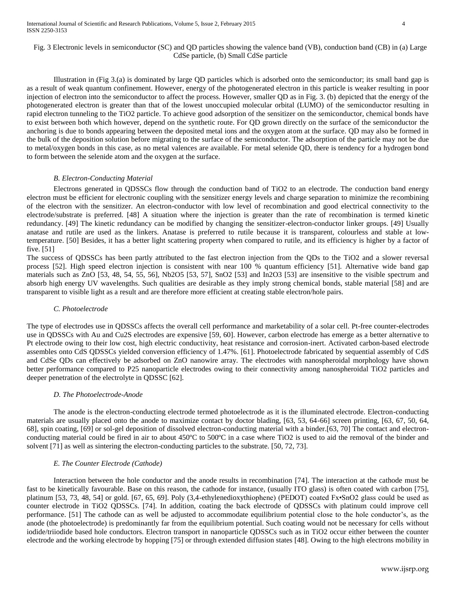## Fig. 3 Electronic levels in semiconductor (SC) and QD particles showing the valence band (VB), conduction band (CB) in (a) Large CdSe particle, (b) Small CdSe particle

Illustration in (Fig 3.(a) is dominated by large QD particles which is adsorbed onto the semiconductor; its small band gap is as a result of weak quantum confinement. However, energy of the photogenerated electron in this particle is weaker resulting in poor injection of electron into the semiconductor to affect the process. However, smaller QD as in Fig. 3. (b) depicted that the energy of the photogenerated electron is greater than that of the lowest unoccupied molecular orbital (LUMO) of the semiconductor resulting in rapid electron tunneling to the TiO2 particle. To achieve good adsorption of the sensitizer on the semiconductor, chemical bonds have to exist between both which however, depend on the synthetic route. For QD grown directly on the surface of the semiconductor the anchoring is due to bonds appearing between the deposited metal ions and the oxygen atom at the surface. QD may also be formed in the bulk of the deposition solution before migrating to the surface of the semiconductor. The adsorption of the particle may not be due to metal/oxygen bonds in this case, as no metal valences are available. For metal selenide QD, there is tendency for a hydrogen bond to form between the selenide atom and the oxygen at the surface.

## *B. Electron-Conducting Material*

Electrons generated in QDSSCs flow through the conduction band of TiO2 to an electrode. The conduction band energy electron must be efficient for electronic coupling with the sensitizer energy levels and charge separation to minimize the recombining of the electron with the sensitizer. An electron-conductor with low level of recombination and good electrical connectivity to the electrode/substrate is preferred. [48] A situation where the injection is greater than the rate of recombination is termed kinetic redundancy. [49] The kinetic redundancy can be modified by changing the sensitizer-electron-conductor linker groups. [49] Usually anatase and rutile are used as the linkers. Anatase is preferred to rutile because it is transparent, colourless and stable at lowtemperature. [50] Besides, it has a better light scattering property when compared to rutile, and its efficiency is higher by a factor of five. [51]

The success of QDSSCs has been partly attributed to the fast electron injection from the QDs to the TiO2 and a slower reversal process [52]. High speed electron injection is consistent with near 100 % quantum efficiency [51]. Alternative wide band gap materials such as ZnO [53, 48, 54, 55, 56], Nb2O5 [53, 57], SnO2 [53] and In2O3 [53] are insensitive to the visible spectrum and absorb high energy UV wavelengths. Such qualities are desirable as they imply strong chemical bonds, stable material [58] and are transparent to visible light as a result and are therefore more efficient at creating stable electron/hole pairs.

#### *C. Photoelectrode*

The type of electrodes use in QDSSCs affects the overall cell performance and marketability of a solar cell. Pt-free counter-electrodes use in QDSSCs with Au and Cu2S electrodes are expensive [59, 60]. However, carbon electrode has emerge as a better alternative to Pt electrode owing to their low cost, high electric conductivity, heat resistance and corrosion-inert. Activated carbon-based electrode assembles onto CdS QDSSCs yielded conversion efficiency of 1.47%. [61]. Photoelectrode fabricated by sequential assembly of CdS and CdSe QDs can effectively be adsorbed on ZnO nanowire array. The electrodes with nanospheroidal morphology have shown better performance compared to P25 nanoparticle electrodes owing to their connectivity among nanospheroidal TiO2 particles and deeper penetration of the electrolyte in QDSSC [62].

#### *D. The Photoelectrode-Anode*

The anode is the electron-conducting electrode termed photoelectrode as it is the illuminated electrode. Electron-conducting materials are usually placed onto the anode to maximize contact by doctor blading, [63, 53, 64-66] screen printing, [63, 67, 50, 64, 68], spin coating, [69] or sol-gel deposition of dissolved electron-conducting material with a binder.[63, 70] The contact and electronconducting material could be fired in air to about 450ºC to 500ºC in a case where TiO2 is used to aid the removal of the binder and solvent [71] as well as sintering the electron-conducting particles to the substrate. [50, 72, 73].

#### *E. The Counter Electrode (Cathode)*

Interaction between the hole conductor and the anode results in recombination [74]. The interaction at the cathode must be fast to be kinetically favourable. Base on this reason, the cathode for instance, (usually ITO glass) is often coated with carbon [75], platinum [53, 73, 48, 54] or gold. [67, 65, 69]. Poly (3,4-ethylenedioxythiophene) (PEDOT) coated Fx•SnO2 glass could be used as counter electrode in TiO2 QDSSCs. [74]. In addition, coating the back electrode of QDSSCs with platinum could improve cell performance. [51] The cathode can as well be adjusted to accommodate equilibrium potential close to the hole conductor's, as the anode (the photoelectrode) is predominantly far from the equilibrium potential. Such coating would not be necessary for cells without iodide/triiodide based hole conductors. Electron transport in nanoparticle QDSSCs such as in TiO2 occur either between the counter electrode and the working electrode by hopping [75] or through extended diffusion states [48]. Owing to the high electrons mobility in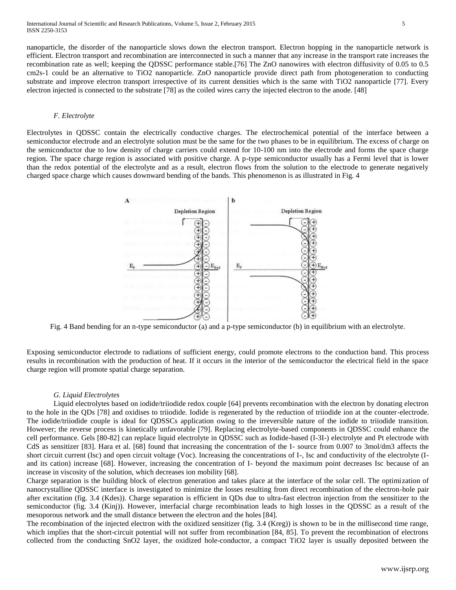nanoparticle, the disorder of the nanoparticle slows down the electron transport. Electron hopping in the nanoparticle network is efficient. Electron transport and recombination are interconnected in such a manner that any increase in the transport rate increases the recombination rate as well; keeping the QDSSC performance stable.[76] The ZnO nanowires with electron diffusivity of 0.05 to 0.5 cm2s-1 could be an alternative to TiO2 nanoparticle. ZnO nanoparticle provide direct path from photogeneration to conducting substrate and improve electron transport irrespective of its current densities which is the same with TiO2 nanoparticle [77]. Every electron injected is connected to the substrate [78] as the coiled wires carry the injected electron to the anode. [48]

#### *F. Electrolyte*

Electrolytes in QDSSC contain the electrically conductive charges. The electrochemical potential of the interface between a semiconductor electrode and an electrolyte solution must be the same for the two phases to be in equilibrium. The excess of charge on the semiconductor due to low density of charge carriers could extend for 10-100 nm into the electrode and forms the space charge region. The space charge region is associated with positive charge. A p-type semiconductor usually has a Fermi level that is lower than the redox potential of the electrolyte and as a result, electron flows from the solution to the electrode to generate negatively charged space charge which causes downward bending of the bands. This phenomenon is as illustrated in Fig. 4



Fig. 4 Band bending for an n-type semiconductor (a) and a p-type semiconductor (b) in equilibrium with an electrolyte.

Exposing semiconductor electrode to radiations of sufficient energy, could promote electrons to the conduction band. This process results in recombination with the production of heat. If it occurs in the interior of the semiconductor the electrical field in the space charge region will promote spatial charge separation.

#### *G. Liquid Electrolytes*

Liquid electrolytes based on iodide/triiodide redox couple [64] prevents recombination with the electron by donating electron to the hole in the QDs [78] and oxidises to triiodide. Iodide is regenerated by the reduction of triiodide ion at the counter-electrode. The iodide/triiodide couple is ideal for QDSSCs application owing to the irreversible nature of the iodide to triiodide transition. However; the reverse process is kinetically unfavorable [79]. Replacing electrolyte-based components in QDSSC could enhance the cell performance. Gels [80-82] can replace liquid electrolyte in QDSSC such as Iodide-based (I-3I-) electrolyte and Pt electrode with CdS as sensitizer [83]. Hara et al. [68] found that increasing the concentration of the I- source from 0.007 to 3mol/dm3 affects the short circuit current (Isc) and open circuit voltage (Voc). Increasing the concentrations of I-, Isc and conductivity of the electrolyte (Iand its cation) increase [68]. However, increasing the concentration of I- beyond the maximum point decreases Isc because of an increase in viscosity of the solution, which decreases ion mobility [68].

Charge separation is the building block of electron generation and takes place at the interface of the solar cell. The optimization of nanocrystalline QDSSC interface is investigated to minimize the losses resulting from direct recombination of the electron-hole pair after excitation (fig. 3.4 (Kdes)). Charge separation is efficient in QDs due to ultra-fast electron injection from the sensitizer to the semiconductor (fig. 3.4 (Kinj)). However, interfacial charge recombination leads to high losses in the QDSSC as a result of the mesoporous network and the small distance between the electron and the holes [84].

The recombination of the injected electron with the oxidized sensitizer (fig. 3.4 (Kreg)) is shown to be in the millisecond time range, which implies that the short-circuit potential will not suffer from recombination [84, 85]. To prevent the recombination of electrons collected from the conducting SnO2 layer, the oxidized hole-conductor, a compact TiO2 layer is usually deposited between the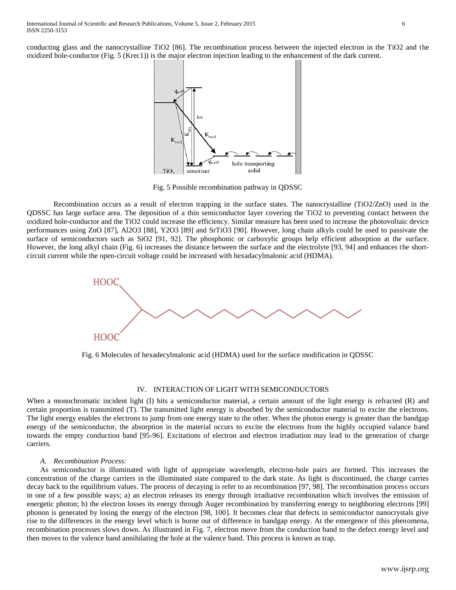conducting glass and the nanocrystalline TiO2 [86]. The recombination process between the injected electron in the TiO2 and the oxidized hole-conductor (Fig. 5 (Krec1)) is the major electron injection leading to the enhancement of the dark current.



Fig. 5 Possible recombination pathway in QDSSC

Recombination occurs as a result of electron trapping in the surface states. The nanocrystalline (TiO2/ZnO) used in the QDSSC has large surface area. The deposition of a thin semiconductor layer covering the TiO2 to preventing contact between the oxidized hole-conductor and the TiO2 could increase the efficiency. Similar measure has been used to increase the photovoltaic device performances using ZnO [87], Al2O3 [88], Y2O3 [89] and SrTiO3 [90]. However, long chain alkyls could be used to passivate the surface of semiconductors such as SiO2 [91, 92]. The phosphonic or carboxylic groups help efficient adsorption at the surface. However, the long alkyl chain (Fig. 6) increases the distance between the surface and the electrolyte [93, 94] and enhances the shortcircuit current while the open-circuit voltage could be increased with hexadacylmalonic acid (HDMA).



Fig. 6 Molecules of hexadecylmalonic acid (HDMA) used for the surface modification in QDSSC

## IV. INTERACTION OF LIGHT WITH SEMICONDUCTORS

When a monochromatic incident light (I) hits a semiconductor material, a certain amount of the light energy is refracted (R) and certain proportion is transmitted (T). The transmitted light energy is absorbed by the semiconductor material to excite the electrons. The light energy enables the electrons to jump from one energy state to the other. When the photon energy is greater than the bandgap energy of the semiconductor, the absorption in the material occurs to excite the electrons from the highly occupied valance band towards the empty conduction band [95-96]. Excitations of electron and electron irradiation may lead to the generation of charge carriers.

#### *A. Recombination Process:*

As semiconductor is illuminated with light of appropriate wavelength, electron-hole pairs are formed. This increases the concentration of the charge carriers in the illuminated state compared to the dark state. As light is discontinued, the charge carries decay back to the equilibrium values. The process of decaying is refer to as recombination [97, 98]. The recombination process occurs in one of a few possible ways; a) an electron releases its energy through irradiative recombination which involves the emission of energetic photon; b) the electron losses its energy through Auger recombination by transferring energy to neighboring electrons [99] phonon is generated by losing the energy of the electron [98, 100]. It becomes clear that defects in semiconductor nanocrystals give rise to the differences in the energy level which is borne out of difference in bandgap energy. At the emergence of this phenomena, recombination processes slows down. As illustrated in Fig. 7, electron move from the conduction band to the defect energy level and then moves to the valence band annihilating the hole at the valence band. This process is known as trap.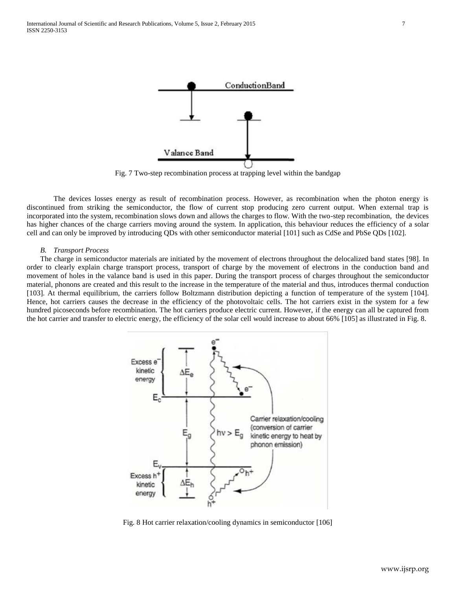

Fig. 7 Two-step recombination process at trapping level within the bandgap

The devices losses energy as result of recombination process. However, as recombination when the photon energy is discontinued from striking the semiconductor, the flow of current stop producing zero current output. When external trap is incorporated into the system, recombination slows down and allows the charges to flow. With the two-step recombination, the devices has higher chances of the charge carriers moving around the system. In application, this behaviour reduces the efficiency of a solar cell and can only be improved by introducing QDs with other semiconductor material [101] such as CdSe and PbSe QDs [102].

#### *B. Transport Process*

The charge in semiconductor materials are initiated by the movement of electrons throughout the delocalized band states [98]. In order to clearly explain charge transport process, transport of charge by the movement of electrons in the conduction band and movement of holes in the valance band is used in this paper. During the transport process of charges throughout the semiconductor material, phonons are created and this result to the increase in the temperature of the material and thus, introduces thermal conduction [103]. At thermal equilibrium, the carriers follow Boltzmann distribution depicting a function of temperature of the system [104]. Hence, hot carriers causes the decrease in the efficiency of the photovoltaic cells. The hot carriers exist in the system for a few hundred picoseconds before recombination. The hot carriers produce electric current. However, if the energy can all be captured from the hot carrier and transfer to electric energy, the efficiency of the solar cell would increase to about 66% [105] as illustrated in Fig. 8.



Fig. 8 Hot carrier relaxation/cooling dynamics in semiconductor [106]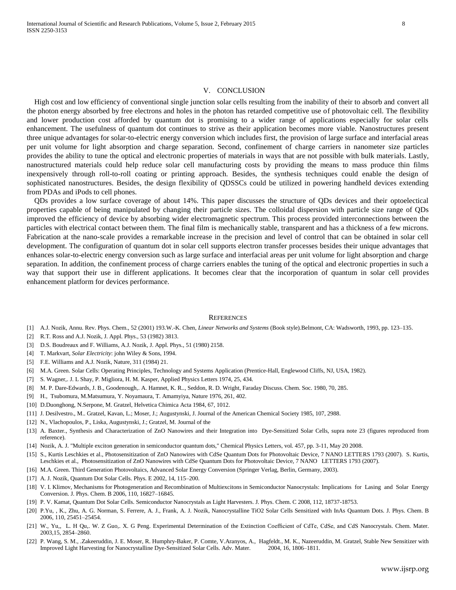#### V. CONCLUSION

High cost and low efficiency of conventional single junction solar cells resulting from the inability of their to absorb and convert all the photon energy absorbed by free electrons and holes in the photon has retarded competitive use of photovoltaic cell. The flexibility and lower production cost afforded by quantum dot is promising to a wider range of applications especially for solar cells enhancement. The usefulness of quantum dot continues to strive as their application becomes more viable. Nanostructures present three unique advantages for solar-to-electric energy conversion which includes first, the provision of large surface and interfacial areas per unit volume for light absorption and charge separation. Second, confinement of charge carriers in nanometer size particles provides the ability to tune the optical and electronic properties of materials in ways that are not possible with bulk materials. Lastly, nanostructured materials could help reduce solar cell manufacturing costs by providing the means to mass produce thin films inexpensively through roll-to-roll coating or printing approach. Besides, the synthesis techniques could enable the design of sophisticated nanostructures. Besides, the design flexibility of QDSSCs could be utilized in powering handheld devices extending from PDAs and iPods to cell phones.

QDs provides a low surface coverage of about 14%. This paper discusses the structure of QDs devices and their optoelectical properties capable of being manipulated by changing their particle sizes. The colloidal dispersion with particle size range of QDs improved the efficiency of device by absorbing wider electromagnetic spectrum. This process provided interconnections between the particles with electrical contact between them. The final film is mechanically stable, transparent and has a thickness of a few microns. Fabrication at the nano-scale provides a remarkable increase in the precision and level of control that can be obtained in solar cell development. The configuration of quantum dot in solar cell supports electron transfer processes besides their unique advantages that enhances solar-to-electric energy conversion such as large surface and interfacial areas per unit volume for light absorption and charge separation. In addition, the confinement process of charge carriers enables the tuning of the optical and electronic properties in such a way that support their use in different applications. It becomes clear that the incorporation of quantum in solar cell provides enhancement platform for devices performance.

#### **REFERENCES**

- [1] A.J. Nozik, Annu. Rev. Phys. Chem., 52 (2001) 193.W.-K. Chen, *Linear Networks and Systems* (Book style)*.*Belmont, CA: Wadsworth, 1993, pp. 123–135.
- [2] R.T. Ross and A.J. Nozik, J. Appl. Phys., 53 (1982) 3813.
- [3] D.S. Boudreaux and F. Williams, A.J. Nozik, J. Appl. Phys., 51 (1980) 2158.
- [4] T. Markvart, *Solar Electricity*: john Wiley & Sons, 1994.
- [5] F.E. Williams and A.J. Nozik, Nature, 311 (1984) 21.
- [6] M.A. Green. Solar Cells: Operating Principles, Technology and Systems Application (Prentice-Hall, Englewood Cliffs, NJ, USA, 1982).
- [7] S. Wagner,. J. L Shay, P. Migliora, H. M. Kasper, Applied Physics Letters 1974, 25, 434.
- [8] M. P. Dare-Edwards, J. B., Goodenough,. A. Hamnet, K. R.., Seddon, R. D. Wright, Faraday Discuss. Chem. Soc. 1980, 70, 285.
- [9] H., Tsubomura, M.Matsumura, Y. Noyamaura, T. Amamyiya, Nature 1976, 261, 402.
- [10] D.Duonghong, N.Serpone, M. Gratzel, Helvetica Chimica Acta 1984, 67, 1012.
- [11] J. Desilvestro., M.. Gratzel, Kavan, L.; Moser, J.; Augustynski, J. Journal of the American Chemical Society 1985, 107, 2988.
- [12] N., Vlachopoulos, P., Liska, Augustynski, J.; Gratzel, M. Journal of the
- [13] A. Baxter., Synthesis and Characterization of ZnO Nanowires and their Integration into Dye-Sensitized Solar Cells, supra note 23 (figures reproduced from reference).
- [14] Nozik, A. J. "Multiple exciton generation in semiconductor quantum dots," Chemical Physics Letters, vol. 457, pp. 3-11, May 20 2008.
- [15] S., Kurtis Leschkies et al., Photosensitization of ZnO Nanowires with CdSe Quantum Dots for Photovoltaic Device, 7 NANO LETTERS 1793 (2007). S. Kurtis, Leschkies et al., Photosensitization of ZnO Nanowires with CdSe Quantum Dots for Photovoltaic Device, 7 NANO LETTERS 1793 (2007).
- [16] M.A. Green. Third Generation Photovoltaics, Advanced Solar Energy Conversion (Springer Verlag, Berlin, Germany, 2003).
- [17] A. J. Nozik, Quantum Dot Solar Cells. Phys. E 2002, 14, 115–200.
- [18] V. I. Klimov, Mechanisms for Photogeneration and Recombination of Multiexcitons in Semiconductor Nanocrystals: Implications for Lasing and Solar Energy Conversion. J. Phys. Chem. B 2006, 110, 16827–16845.
- [19] P. V. Kamat, Quantum Dot Solar Cells. Semiconductor Nanocrystals as Light Harvesters. J. Phys. Chem. C 2008, 112, 18737-18753.
- [20] P.Yu, , K., Zhu, A. G. Norman, S. Ferrere, A. J., Frank, A. J. Nozik, Nanocrystalline TiO2 Solar Cells Sensitized with InAs Quantum Dots. J. Phys. Chem. B 2006, 110, 25451–25454.
- [21] W., Yu,, L. H Qu,. W. Z Guo,. X. G Peng. Experimental Determination of the Extinction Coefficient of CdTe, CdSe, and CdS Nanocrystals. Chem. Mater. 2003,15, 2854–2860.
- [22] P. Wang, S. M., .Zakeeruddin, J. E. Moser, R. Humphry-Baker, P. Comte, V.Aranyos, A., Hagfeldt., M. K., Nazeeruddin, M. Gratzel, Stable New Sensitizer with Improved Light Harvesting for Nanocrystalline Dye-Sensitized Solar Cells. Adv. Mater. 2004, 16, 1806–1811.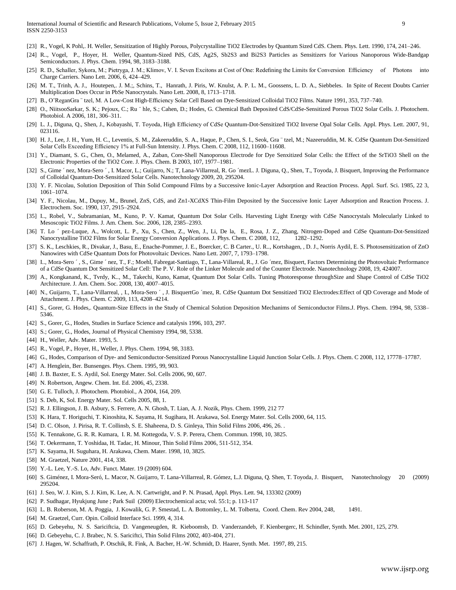- [23] R., Vogel, K Pohl,. H. Weller, Sensitization of Highly Porous, Polycrystalline TiO2 Electrodes by Quantum Sized CdS. Chem. Phys. Lett. 1990, 174, 241–246.
- [24] R.., Vogel, P., Hoyer, H. Weller, Quantum-Sized PdS, CdS, Ag2S, Sb2S3 and Bi2S3 Particles as Sensitizers for Various Nanoporous Wide-Bandgap Semiconductors. J. Phys. Chem. 1994, 98, 3183–3188.
- [25] R. D., Schaller, Sykora, M.; Pietryga, J. M.; Klimov, V. I. Seven Excitons at Cost of One: Redefining the Limits for Conversion Efficiency of Photons into Charge Carriers. Nano Lett. 2006, 6, 424–429.
- [26] M. T., Trinh, A. J., Houtepen,. J. M.;, Schins, T., Hanrath, J. Piris, W. Knulst, A. P. L. M., Goossens, L. D. A., Siebbeles. In Spite of Recent Doubts Carrier Multiplication Does Occur in PbSe Nanocrystals. Nano Lett. 2008, 8, 1713–1718.
- [27] B., O'ReganGra ¨ tzel, M. A Low-Cost High-Efficiency Solar Cell Based on Dye-Sensitized Colloidal TiO2 Films. Nature 1991, 353, 737–740.
- [28] O., NiitsooSarkar, S. K.; Pejoux, C.; Ru ¨ hle, S.; Cahen, D.; Hodes, G. Chemical Bath Deposited CdS/CdSe-Sensitized Porous TiO2 Solar Cells. J. Photochem. Photobiol. A 2006, 181, 306–311.
- [29] L. J., Diguna, Q., Shen, J., Kobayashi, T. Toyoda, High Efficiency of CdSe Quantum-Dot-Sensitized TiO2 Inverse Opal Solar Cells. Appl. Phys. Lett. 2007, 91, 023116.
- [30] H. J., Lee, J. H., Yum, H. C., Leventis, S. M., Zakeeruddin, S. A., Haque, P., Chen, S. I., Seok, Gra ¨ tzel, M.; Nazeeruddin, M. K. CdSe Quantum Dot-Sensitized Solar Cells Exceeding Efficiency 1% at Full-Sun Intensity. J. Phys. Chem. C 2008, 112, 11600–11608.
- [31] Y., Diamant, S. G., Chen, O., Melamed, A., Zaban, Core-Shell Nanoporous Electrode for Dye Senxitized Solar Cells: the Effect of the SrTiO3 Shell on the Electronic Properties of the TiO2 Core. J. Phys. Chem. B 2003, 107, 1977–1981.
- [32] S., Gime ´ nez, Mora-Sero ´ , I. Macor, L.; Guijarro, N.; T, Lana-Villarreal, R. Go ´mezL. J. Diguna, Q., Shen, T., Toyoda, J. Bisquert, Improving the Performance of Colloidal Quantum-Dot-Sensitized Solar Cells. Nanotechnology 2009, 20, 295204.
- [33] Y. F. Nicolau, Solution Deposition of Thin Solid Compound Films by a Successive Ionic-Layer Adsorption and Reaction Process. Appl. Surf. Sci. 1985, 22 3, 1061–1074.
- [34] Y. F., Nicolau, M., Dupuy, M., Brunel, ZnS, CdS, and Zn1-XCdXS Thin-Film Deposited by the Successive Ionic Layer Adsorption and Reaction Process. J. Electrochem. Soc. 1990, 137, 2915–2924.
- [35] I.., Robel, V., Subramanian, M., Kuno, P. V. Kamat, Quantum Dot Solar Cells. Harvesting Light Energy with CdSe Nanocrystals Molecularly Linked to Mesoscopic TiO2 Films. J. Am. Chem. Soc. 2006, 128, 2385–2393.
- [36] T. Lo ´ pez-Luque, A., Wolcott, L. P., Xu, S., Chen, Z., Wen, J., Li, De la, E., Rosa, J. Z., Zhang, Nitrogen-Doped and CdSe Quantum-Dot-Sensitized Nanocrystalline TiO2 Films for Solar Energy Conversion Applications. J. Phys. Chem. C 2008, 112, 1282–1292.
- [37] S. K., Leschkies, R., Divakar, J., Basu, E., Enache-Pommer, J. E., Boercker, C. B Carter., U. R.., Kortshagen, , D. J., Norris Aydil, E. S. Photosensitization of ZnO Nanowires with CdSe Quantum Dots for Photovoltaic Devices. Nano Lett. 2007, 7, 1793–1798.
- [38] I.., Mora-Sero ´, S., Gime ´nez, T., F.; Moehl, Fabregat-Santiago, T., Lana-Villareal, R., J. Go ´mez, Bisquert, Factors Determining the Photovoltaic Performance of a CdSe Quantum Dot Sensitized Solar Cell: The P. V. Role of the Linker Molecule and of the Counter Electrode. Nanotechnology 2008, 19, 424007.
- [39] A., Kongkanand, K., Tvrdy, K.., M., Takechi, Kuno, Kamat, Quantum Dot Solar Cells. Tuning Photoresponse throughSize and Shape Control of CdSe TiO2 Architecture. J. Am. Chem. Soc. 2008, 130, 4007–4015.
- [40] N., Guijarro, T., Lana-Villarreal, , I., Mora-Sero ´ , J. BisquertGo ´mez, R. CdSe Quantum Dot Sensitized TiO2 Electrodes:Effect of QD Coverage and Mode of Attachment. J. Phys. Chem. C 2009, 113, 4208–4214.
- [41] S., Gorer, G. Hodes,. Quantum-Size Effects in the Study of Chemical Solution Deposition Mechanims of Semiconductor Films.J. Phys. Chem. 1994, 98, 5338– 5346.
- [42] S., Gorer, G., Hodes, Studies in Surface Science and catalysis 1996, 103, 297.
- [43] S.; Gorer, G., Hodes, Journal of Physical Chemistry 1994, 98, 5338.
- [44] H., Weller, Adv. Mater. 1993, 5.
- [45] R., Vogel, P., Hoyer, H., Weller, J. Phys. Chem. 1994, 98, 3183.
- [46] G., Hodes, Comparison of Dye- and Semiconductor-Sensitized Porous Nanocrystalline Liquid Junction Solar Cells. J. Phys. Chem. C 2008, 112, 17778–17787.
- [47] A. Henglein, Ber. Bunsenges. Phys. Chem. 1995, 99, 903.
- [48] J. B. Baxter, E. S. Aydil, Sol. Energy Mater. Sol. Cells 2006, 90, 607.
- [49] N. Robertson, Angew. Chem. Int. Ed. 2006, 45, 2338.
- [50] G. E. Tulloch, J. Photochem. Photobiol., A 2004, 164, 209.
- [51] S. Deb, K, Sol. Energy Mater. Sol. Cells 2005, 88, 1.
- [52] R. J. Ellingson, J. B. Asbury, S. Ferrere, A. N. Ghosh, T. Lian, A. J. Nozik, Phys. Chem. 1999, 212 77
- [53] K. Hara, T. Horiguchi, T. Kinoshita, K. Sayama, H. Sugihara, H. Arakawa, Sol. Energy Mater. Sol. Cells 2000, 64, 115.
- [54] D. C. Olson, J. Pirisa, R. T. Collinsb, S. E. Shaheena, D. S. Ginleya, Thin Solid Films 2006, 496, 26. .
- [55] K. Tennakone, G. R. R. Kumara, I. R. M. Kottegoda, V. S. P. Perera, Chem. Commun. 1998, 10, 3825.
- [56] T. Oekermann, T. Yoshidaa, H. Tadac, H. Minour, Thin Solid Films 2006, 511-512, 354.
- [57] K. Sayama, H. Suguhara, H. Arakawa, Chem. Mater. 1998, 10, 3825.
- [58] M. Graetzel, Nature 2001, 414, 338.
- [59] Y.-L. Lee, Y.-S. Lo, Adv. Funct. Mater. 19 (2009) 604.
- [60] S. Giménez, I. Mora-Seró, L. Macor, N. Guijarro, T. Lana-Villarreal, R. Gómez, L.J. Diguna, Q. Shen, T. Toyoda, J. Bisquert, Nanotechnology 20 (2009) 295204.
- [61] J. Seo, W. J. Kim, S. J. Kim, K. Lee, A. N. Cartwright, and P. N. Prasad, Appl. Phys. Lett. 94, 133302 (2009)
- [62] P. Sudhagar, Hyukjung June ; Park Suil (2009) Electrochemical acta; vol. 55:1; p. 113-117
- [63] L. B. Roberson, M. A. Poggia, J. Kowalik, G. P. Smestad, L. A. Bottomley, L. M. Tolberta, Coord. Chem. Rev 2004, 248, 1491.
- [64] M. Graetzel, Curr. Opin. Colloid Interface Sci. 1999, 4, 314.
- [65] D. Gebeyehu, N. S. Sariciftcia, D. Vangeneugden, R. Kieboomsb, D. Vanderzandeb, F. Kienbergerc, H. Schindler, Synth. Met. 2001, 125, 279.
- [66] D. Gebeyehu, C. J. Brabec, N. S. Sariciftci, Thin Solid Films 2002, 403-404, 271.
- [67] J. Hagen, W. Schaffrath, P. Otschik, R. Fink, A. Bacher, H.-W. Schmidt, D. Haarer, Synth. Met. 1997, 89, 215.